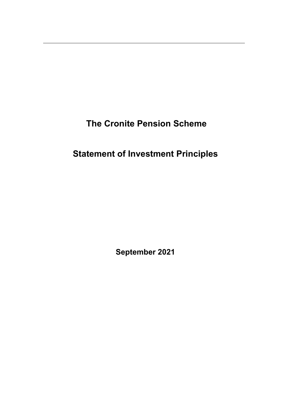**The Cronite Pension Scheme**

# **Statement of Investment Principles**

**September 2021**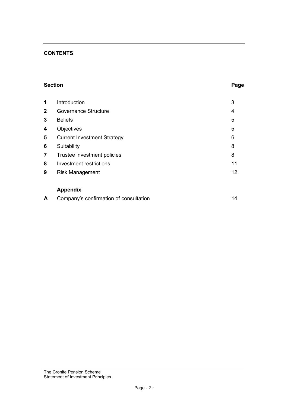## **CONTENTS**

## **Section Page**

| 1            | Introduction                       | 3  |
|--------------|------------------------------------|----|
| $\mathbf{2}$ | <b>Governance Structure</b>        | 4  |
| 3            | <b>Beliefs</b>                     | 5  |
| 4            | Objectives                         | 5  |
| 5            | <b>Current Investment Strategy</b> | 6  |
| 6            | Suitability                        | 8  |
| 7            | Trustee investment policies        | 8  |
| 8            | Investment restrictions            | 11 |
| 9            | <b>Risk Management</b>             | 12 |
|              |                                    |    |
|              |                                    |    |

# **Appendix**

| Company's confirmation of consultation |  |
|----------------------------------------|--|
|                                        |  |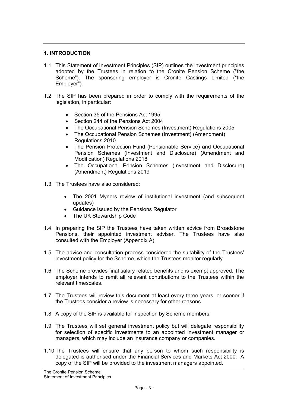#### **1. INTRODUCTION**

- 1.1 This Statement of Investment Principles (SIP) outlines the investment principles adopted by the Trustees in relation to the Cronite Pension Scheme ("the Scheme"). The sponsoring employer is Cronite Castings Limited ("the Employer").
- 1.2 The SIP has been prepared in order to comply with the requirements of the legislation, in particular:
	- Section 35 of the Pensions Act 1995
	- Section 244 of the Pensions Act 2004
	- The Occupational Pension Schemes (Investment) Regulations 2005
	- The Occupational Pension Schemes (Investment) (Amendment) Regulations 2010
	- The [Pension Protection Fund \(Pensionable Service\) and Occupational](http://www.legislation.gov.uk/uksi/2018/988/contents/made)  [Pension Schemes \(Investment and Disclosure\) \(Amendment and](http://www.legislation.gov.uk/uksi/2018/988/contents/made)  [Modification\) Regulations 2018](http://www.legislation.gov.uk/uksi/2018/988/contents/made)
	- The Occupational Pension Schemes (Investment and Disclosure) (Amendment) Regulations 2019
- 1.3 The Trustees have also considered:
	- The 2001 Myners review of institutional investment (and subsequent updates)
	- Guidance issued by the Pensions Regulator
	- The UK Stewardship Code
- 1.4 In preparing the SIP the Trustees have taken written advice from Broadstone Pensions, their appointed investment adviser. The Trustees have also consulted with the Employer (Appendix A).
- 1.5 The advice and consultation process considered the suitability of the Trustees' investment policy for the Scheme, which the Trustees monitor regularly.
- 1.6 The Scheme provides final salary related benefits and is exempt approved. The employer intends to remit all relevant contributions to the Trustees within the relevant timescales.
- 1.7 The Trustees will review this document at least every three years, or sooner if the Trustees consider a review is necessary for other reasons.
- 1.8 A copy of the SIP is available for inspection by Scheme members.
- 1.9 The Trustees will set general investment policy but will delegate responsibility for selection of specific investments to an appointed investment manager or managers, which may include an insurance company or companies.
- 1.10 The Trustees will ensure that any person to whom such responsibility is delegated is authorised under the Financial Services and Markets Act 2000. A copy of the SIP will be provided to the investment managers appointed.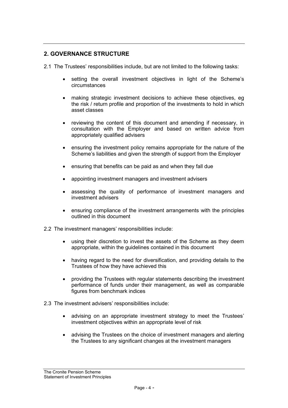## **2. GOVERNANCE STRUCTURE**

2.1 The Trustees' responsibilities include, but are not limited to the following tasks:

- setting the overall investment objectives in light of the Scheme's circumstances
- making strategic investment decisions to achieve these objectives, eg the risk / return profile and proportion of the investments to hold in which asset classes
- reviewing the content of this document and amending if necessary, in consultation with the Employer and based on written advice from appropriately qualified advisers
- ensuring the investment policy remains appropriate for the nature of the Scheme's liabilities and given the strength of support from the Employer
- ensuring that benefits can be paid as and when they fall due
- appointing investment managers and investment advisers
- assessing the quality of performance of investment managers and investment advisers
- ensuring compliance of the investment arrangements with the principles outlined in this document
- 2.2 The investment managers' responsibilities include:
	- using their discretion to invest the assets of the Scheme as they deem appropriate, within the guidelines contained in this document
	- having regard to the need for diversification, and providing details to the Trustees of how they have achieved this
	- providing the Trustees with regular statements describing the investment performance of funds under their management, as well as comparable figures from benchmark indices
- 2.3 The investment advisers' responsibilities include:
	- advising on an appropriate investment strategy to meet the Trustees' investment objectives within an appropriate level of risk
	- advising the Trustees on the choice of investment managers and alerting the Trustees to any significant changes at the investment managers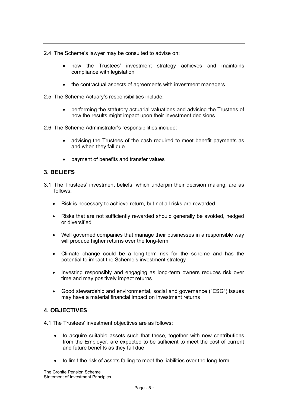- 2.4 The Scheme's lawyer may be consulted to advise on:
	- how the Trustees' investment strategy achieves and maintains compliance with legislation
	- the contractual aspects of agreements with investment managers
- 2.5 The Scheme Actuary's responsibilities include:
	- performing the statutory actuarial valuations and advising the Trustees of how the results might impact upon their investment decisions
- 2.6 The Scheme Administrator's responsibilities include:
	- advising the Trustees of the cash required to meet benefit payments as and when they fall due
	- payment of benefits and transfer values

## **3. BELIEFS**

- 3.1 The Trustees' investment beliefs, which underpin their decision making, are as follows:
	- Risk is necessary to achieve return, but not all risks are rewarded
	- Risks that are not sufficiently rewarded should generally be avoided, hedged or diversified
	- Well governed companies that manage their businesses in a responsible way will produce higher returns over the long-term
	- Climate change could be a long-term risk for the scheme and has the potential to impact the Scheme's investment strategy
	- Investing responsibly and engaging as long-term owners reduces risk over time and may positively impact returns
	- Good stewardship and environmental, social and governance ("ESG") issues may have a material financial impact on investment returns

## **4. OBJECTIVES**

4.1 The Trustees' investment objectives are as follows:

- to acquire suitable assets such that these, together with new contributions from the Employer, are expected to be sufficient to meet the cost of current and future benefits as they fall due
- to limit the risk of assets failing to meet the liabilities over the long-term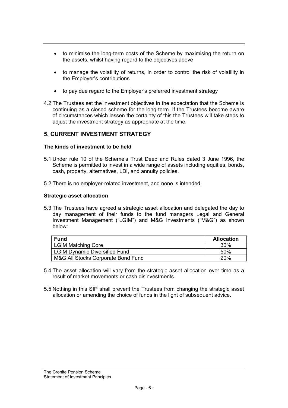- to minimise the long-term costs of the Scheme by maximising the return on the assets, whilst having regard to the objectives above
- to manage the volatility of returns, in order to control the risk of volatility in the Employer's contributions
- to pay due regard to the Employer's preferred investment strategy
- 4.2 The Trustees set the investment objectives in the expectation that the Scheme is continuing as a closed scheme for the long-term. If the Trustees become aware of circumstances which lessen the certainty of this the Trustees will take steps to adjust the investment strategy as appropriate at the time.

## **5. CURRENT INVESTMENT STRATEGY**

## **The kinds of investment to be held**

- 5.1 Under rule 10 of the Scheme's Trust Deed and Rules dated 3 June 1996, the Scheme is permitted to invest in a wide range of assets including equities, bonds, cash, property, alternatives, LDI, and annuity policies.
- 5.2 There is no employer-related investment, and none is intended.

## **Strategic asset allocation**

5.3 The Trustees have agreed a strategic asset allocation and delegated the day to day management of their funds to the fund managers Legal and General Investment Management ("LGIM") and M&G Investments ("M&G") as shown below:

| <b>Fund</b>                          | <b>Allocation</b> |
|--------------------------------------|-------------------|
| <b>LGIM Matching Core</b>            | 30%               |
| <b>LGIM Dynamic Diversified Fund</b> | 50%               |
| M&G All Stocks Corporate Bond Fund   | 20%               |

- 5.4 The asset allocation will vary from the strategic asset allocation over time as a result of market movements or cash disinvestments.
- 5.5 Nothing in this SIP shall prevent the Trustees from changing the strategic asset allocation or amending the choice of funds in the light of subsequent advice.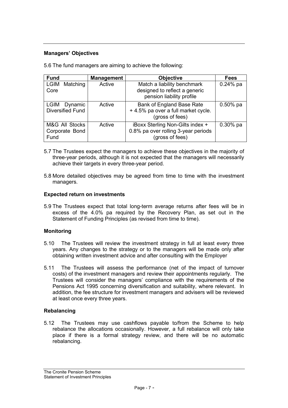## **Managers' Objectives**

| <b>Fund</b>                                       | <b>Management</b> | <b>Objective</b>                                                                           | <b>Fees</b> |
|---------------------------------------------------|-------------------|--------------------------------------------------------------------------------------------|-------------|
| <b>LGIM</b><br>Matching<br>Core                   | Active            | Match a liability benchmark<br>designed to reflect a generic<br>pension liability profile  | $0.24%$ pa  |
| Dynamic<br><b>LGIM</b><br><b>Diversified Fund</b> | Active            | Bank of England Base Rate<br>+ 4.5% pa over a full market cycle.<br>(gross of fees)        | $0.50\%$ pa |
| M&G All Stocks<br>Corporate Bond<br>Fund          | Active            | iBoxx Sterling Non-Gilts index +<br>0.8% pa over rolling 3-year periods<br>(gross of fees) | $0.30%$ pa  |

5.6 The fund managers are aiming to achieve the following:

- 5.7 The Trustees expect the managers to achieve these objectives in the majority of three-year periods, although it is not expected that the managers will necessarily achieve their targets in every three-year period.
- 5.8 More detailed objectives may be agreed from time to time with the investment managers.

## **Expected return on investments**

5.9 The Trustees expect that total long-term average returns after fees will be in excess of the 4.0% pa required by the Recovery Plan, as set out in the Statement of Funding Principles (as revised from time to time).

## **Monitoring**

- 5.10 The Trustees will review the investment strategy in full at least every three years. Any changes to the strategy or to the managers will be made only after obtaining written investment advice and after consulting with the Employer
- 5.11 The Trustees will assess the performance (net of the impact of turnover costs) of the investment managers and review their appointments regularly. The Trustees will consider the managers' compliance with the requirements of the Pensions Act 1995 concerning diversification and suitability, where relevant. In addition, the fee structure for investment managers and advisers will be reviewed at least once every three years.

## **Rebalancing**

5.12 The Trustees may use cashflows payable to/from the Scheme to help rebalance the allocations occasionally. However, a full rebalance will only take place if there is a formal strategy review, and there will be no automatic rebalancing.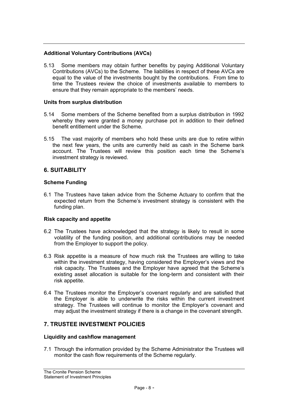## **Additional Voluntary Contributions (AVCs)**

5.13 Some members may obtain further benefits by paying Additional Voluntary Contributions (AVCs) to the Scheme. The liabilities in respect of these AVCs are equal to the value of the investments bought by the contributions. From time to time the Trustees review the choice of investments available to members to ensure that they remain appropriate to the members' needs.

## **Units from surplus distribution**

- 5.14 Some members of the Scheme benefited from a surplus distribution in 1992 whereby they were granted a money purchase pot in addition to their defined benefit entitlement under the Scheme.
- 5.15 The vast majority of members who hold these units are due to retire within the next few years, the units are currently held as cash in the Scheme bank account. The Trustees will review this position each time the Scheme's investment strategy is reviewed.

## **6. SUITABILITY**

## **Scheme Funding**

6.1 The Trustees have taken advice from the Scheme Actuary to confirm that the expected return from the Scheme's investment strategy is consistent with the funding plan.

## **Risk capacity and appetite**

- 6.2 The Trustees have acknowledged that the strategy is likely to result in some volatility of the funding position, and additional contributions may be needed from the Employer to support the policy.
- 6.3 Risk appetite is a measure of how much risk the Trustees are willing to take within the investment strategy, having considered the Employer's views and the risk capacity. The Trustees and the Employer have agreed that the Scheme's existing asset allocation is suitable for the long-term and consistent with their risk appetite.
- 6.4 The Trustees monitor the Employer's covenant regularly and are satisfied that the Employer is able to underwrite the risks within the current investment strategy. The Trustees will continue to monitor the Employer's covenant and may adjust the investment strategy if there is a change in the covenant strength.

## **7. TRUSTEE INVESTMENT POLICIES**

## **Liquidity and cashflow management**

7.1 Through the information provided by the Scheme Administrator the Trustees will monitor the cash flow requirements of the Scheme regularly.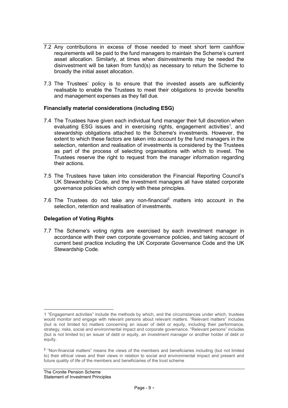- 7.2 Any contributions in excess of those needed to meet short term cashflow requirements will be paid to the fund managers to maintain the Scheme's current asset allocation. Similarly, at times when disinvestments may be needed the disinvestment will be taken from fund(s) as necessary to return the Scheme to broadly the initial asset allocation.
- 7.3 The Trustees' policy is to ensure that the invested assets are sufficiently realisable to enable the Trustees to meet their obligations to provide benefits and management expenses as they fall due.

## **Financially material considerations (including ESG)**

- 7.4 The Trustees have given each individual fund manager their full discretion when evaluating ESG issues and in exercising rights, engagement activities<sup>1</sup>, and stewardship obligations attached to the Scheme's investments. However, the extent to which these factors are taken into account by the fund managers in the selection, retention and realisation of investments is considered by the Trustees as part of the process of selecting organisations with which to invest. The Trustees reserve the right to request from the manager information regarding their actions.
- 7.5 The Trustees have taken into consideration the Financial Reporting Council's UK Stewardship Code, and the investment managers all have stated corporate governance policies which comply with these principles.
- 7.6 The Trustees do not take any non-financial<sup>2</sup> matters into account in the selection, retention and realisation of investments.

## **Delegation of Voting Rights**

7.7 The Scheme's voting rights are exercised by each investment manager in accordance with their own corporate governance policies, and taking account of current best practice including the UK Corporate Governance Code and the UK Stewardship Code.

<sup>1</sup> "Engagement activities" include the methods by which, and the circumstances under which, trustees would monitor and engage with relevant persons about relevant matters. "Relevant matters" includes (but is not limited to) matters concerning an issuer of debt or equity, including their performance, strategy, risks, social and environmental impact and corporate governance. "Relevant persons" includes (but is not limited to) an issuer of debt or equity, an investment manager or another holder of debt or equity.

<sup>&</sup>lt;sup>2</sup> "Non-financial matters" means the views of the members and beneficiaries including (but not limited to) their ethical views and their views in relation to social and environmental impact and present and future quality of life of the members and beneficiaries of the trust scheme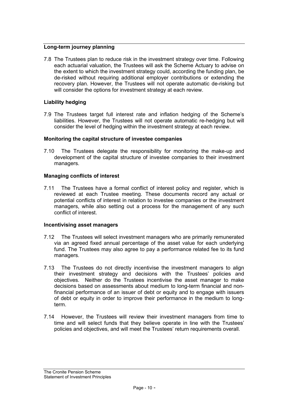## **Long-term journey planning**

7.8 The Trustees plan to reduce risk in the investment strategy over time. Following each actuarial valuation, the Trustees will ask the Scheme Actuary to advise on the extent to which the investment strategy could, according the funding plan, be de-risked without requiring additional employer contributions or extending the recovery plan. However, the Trustees will not operate automatic de-risking but will consider the options for investment strategy at each review.

## **Liability hedging**

7.9 The Trustees target full interest rate and inflation hedging of the Scheme's liabilities. However, the Trustees will not operate automatic re-hedging but will consider the level of hedging within the investment strategy at each review.

#### **Monitoring the capital structure of investee companies**

7.10 The Trustees delegate the responsibility for monitoring the make-up and development of the capital structure of investee companies to their investment managers.

#### **Managing conflicts of interest**

7.11 The Trustees have a formal conflict of interest policy and register, which is reviewed at each Trustee meeting. These documents record any actual or potential conflicts of interest in relation to investee companies or the investment managers, while also setting out a process for the management of any such conflict of interest.

#### **Incentivising asset managers**

- 7.12 The Trustees will select investment managers who are primarily remunerated via an agreed fixed annual percentage of the asset value for each underlying fund. The Trustees may also agree to pay a performance related fee to its fund managers.
- 7.13 The Trustees do not directly incentivise the investment managers to align their investment strategy and decisions with the Trustees' policies and objectives. Neither do the Trustees incentivise the asset manager to make decisions based on assessments about medium to long-term financial and nonfinancial performance of an issuer of debt or equity and to engage with issuers of debt or equity in order to improve their performance in the medium to longterm.
- 7.14 However, the Trustees will review their investment managers from time to time and will select funds that they believe operate in line with the Trustees' policies and objectives, and will meet the Trustees' return requirements overall.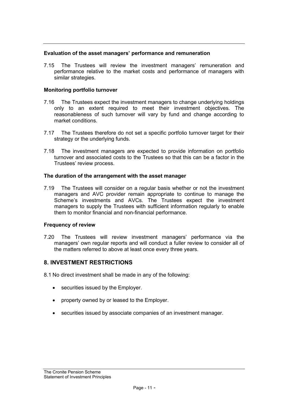#### **Evaluation of the asset managers' performance and remuneration**

7.15 The Trustees will review the investment managers' remuneration and performance relative to the market costs and performance of managers with similar strategies.

#### **Monitoring portfolio turnover**

- 7.16 The Trustees expect the investment managers to change underlying holdings only to an extent required to meet their investment objectives. The reasonableness of such turnover will vary by fund and change according to market conditions.
- 7.17 The Trustees therefore do not set a specific portfolio turnover target for their strategy or the underlying funds.
- 7.18 The investment managers are expected to provide information on portfolio turnover and associated costs to the Trustees so that this can be a factor in the Trustees' review process.

#### **The duration of the arrangement with the asset manager**

7.19 The Trustees will consider on a regular basis whether or not the investment managers and AVC provider remain appropriate to continue to manage the Scheme's investments and AVCs. The Trustees expect the investment managers to supply the Trustees with sufficient information regularly to enable them to monitor financial and non-financial performance.

## **Frequency of review**

7.20 The Trustees will review investment managers' performance via the managers' own regular reports and will conduct a fuller review to consider all of the matters referred to above at least once every three years.

## **8. INVESTMENT RESTRICTIONS**

8.1 No direct investment shall be made in any of the following:

- securities issued by the Employer.
- property owned by or leased to the Employer.
- securities issued by associate companies of an investment manager.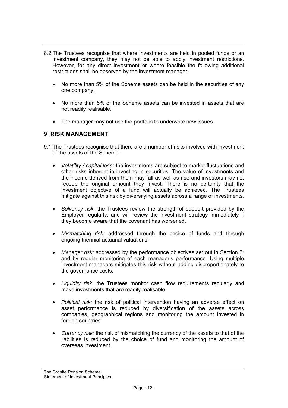- 8.2 The Trustees recognise that where investments are held in pooled funds or an investment company, they may not be able to apply investment restrictions. However, for any direct investment or where feasible the following additional restrictions shall be observed by the investment manager:
	- No more than 5% of the Scheme assets can be held in the securities of any one company.
	- No more than 5% of the Scheme assets can be invested in assets that are not readily realisable.
	- The manager may not use the portfolio to underwrite new issues.

## **9. RISK MANAGEMENT**

- 9.1 The Trustees recognise that there are a number of risks involved with investment of the assets of the Scheme.
	- *Volatility / capital loss:* the investments are subject to market fluctuations and other risks inherent in investing in securities. The value of investments and the income derived from them may fall as well as rise and investors may not recoup the original amount they invest. There is no certainty that the investment objective of a fund will actually be achieved. The Trustees mitigate against this risk by diversifying assets across a range of investments.
	- *Solvency risk:* the Trustees review the strength of support provided by the Employer regularly, and will review the investment strategy immediately if they become aware that the covenant has worsened.
	- *Mismatching risk:* addressed through the choice of funds and through ongoing triennial actuarial valuations.
	- *Manager risk:* addressed by the performance objectives set out in Section 5; and by regular monitoring of each manager's performance. Using multiple investment managers mitigates this risk without adding disproportionately to the governance costs.
	- *Liquidity risk:* the Trustees monitor cash flow requirements regularly and make investments that are readily realisable.
	- *Political risk:* the risk of political intervention having an adverse effect on asset performance is reduced by diversification of the assets across companies, geographical regions and monitoring the amount invested in foreign countries.
	- *Currency risk:* the risk of mismatching the currency of the assets to that of the liabilities is reduced by the choice of fund and monitoring the amount of overseas investment.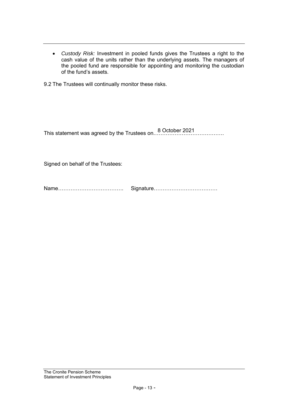• *Custody Risk:* Investment in pooled funds gives the Trustees a right to the cash value of the units rather than the underlying assets. The managers of the pooled fund are responsible for appointing and monitoring the custodian of the fund's assets.

9.2 The Trustees will continually monitor these risks.

This statement was agreed by the Trustees on…………………………………. 8 October 2021

Signed on behalf of the Trustees:

Name………………………………. Signature………………………………